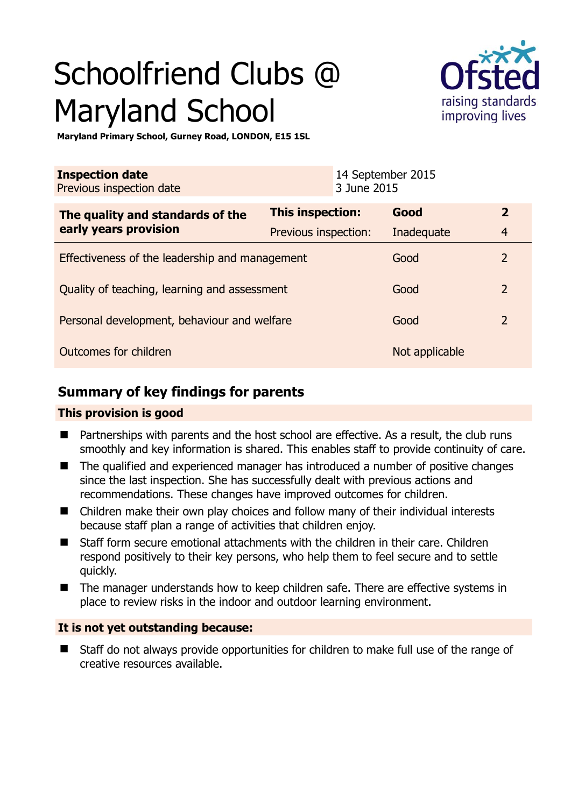# Schoolfriend Clubs @ Maryland School



**Maryland Primary School, Gurney Road, LONDON, E15 1SL** 

| <b>Inspection date</b><br>Previous inspection date        | 14 September 2015<br>3 June 2015 |                |                |
|-----------------------------------------------------------|----------------------------------|----------------|----------------|
| The quality and standards of the<br>early years provision | <b>This inspection:</b>          | Good           | $\overline{2}$ |
|                                                           | Previous inspection:             | Inadequate     | $\overline{4}$ |
| Effectiveness of the leadership and management            |                                  | Good           | $\overline{2}$ |
| Quality of teaching, learning and assessment              |                                  | Good           | $\overline{2}$ |
| Personal development, behaviour and welfare               |                                  | Good           | $\overline{2}$ |
| Outcomes for children                                     |                                  | Not applicable |                |

# **Summary of key findings for parents**

## **This provision is good**

- Partnerships with parents and the host school are effective. As a result, the club runs smoothly and key information is shared. This enables staff to provide continuity of care.
- The qualified and experienced manager has introduced a number of positive changes since the last inspection. She has successfully dealt with previous actions and recommendations. These changes have improved outcomes for children.
- Children make their own play choices and follow many of their individual interests because staff plan a range of activities that children enjoy.
- Staff form secure emotional attachments with the children in their care. Children respond positively to their key persons, who help them to feel secure and to settle quickly.
- The manager understands how to keep children safe. There are effective systems in place to review risks in the indoor and outdoor learning environment.

## **It is not yet outstanding because:**

 Staff do not always provide opportunities for children to make full use of the range of creative resources available.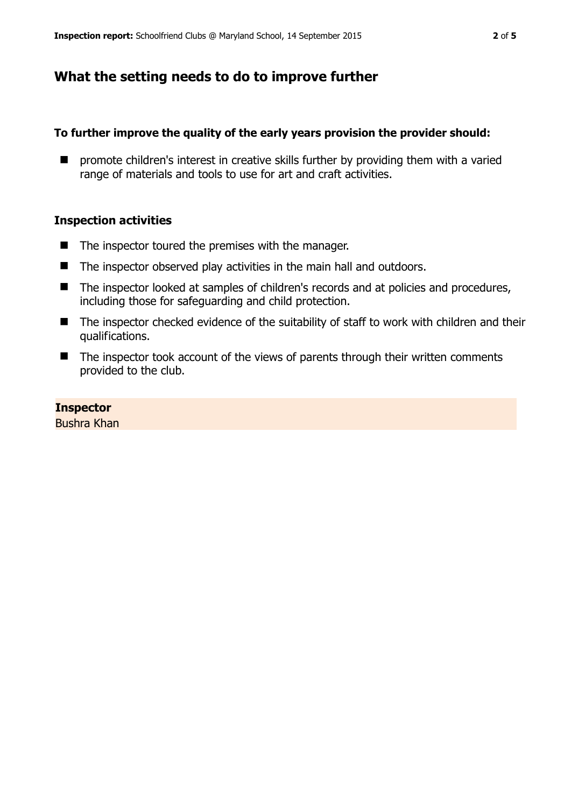# **What the setting needs to do to improve further**

## **To further improve the quality of the early years provision the provider should:**

**E** promote children's interest in creative skills further by providing them with a varied range of materials and tools to use for art and craft activities.

### **Inspection activities**

- $\blacksquare$  The inspector toured the premises with the manager.
- The inspector observed play activities in the main hall and outdoors.
- The inspector looked at samples of children's records and at policies and procedures, including those for safeguarding and child protection.
- The inspector checked evidence of the suitability of staff to work with children and their qualifications.
- $\blacksquare$  The inspector took account of the views of parents through their written comments provided to the club.

## **Inspector**

Bushra Khan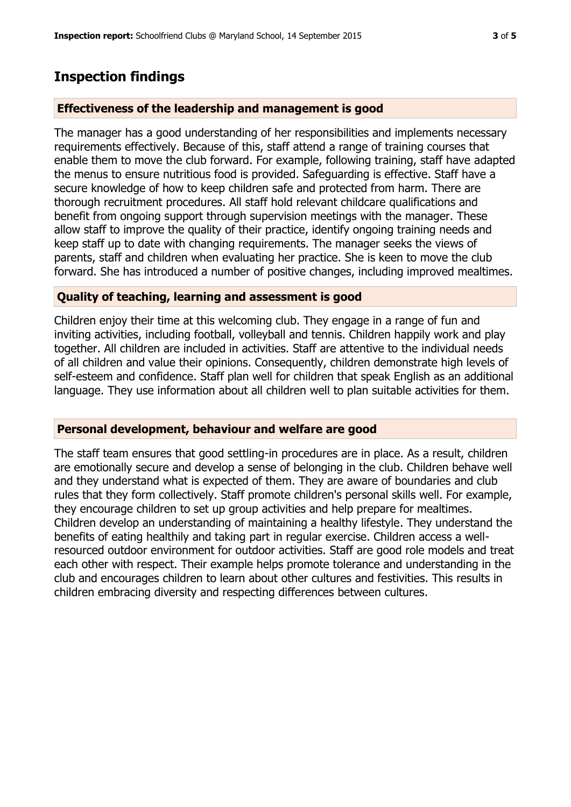## **Inspection findings**

### **Effectiveness of the leadership and management is good**

The manager has a good understanding of her responsibilities and implements necessary requirements effectively. Because of this, staff attend a range of training courses that enable them to move the club forward. For example, following training, staff have adapted the menus to ensure nutritious food is provided. Safeguarding is effective. Staff have a secure knowledge of how to keep children safe and protected from harm. There are thorough recruitment procedures. All staff hold relevant childcare qualifications and benefit from ongoing support through supervision meetings with the manager. These allow staff to improve the quality of their practice, identify ongoing training needs and keep staff up to date with changing requirements. The manager seeks the views of parents, staff and children when evaluating her practice. She is keen to move the club forward. She has introduced a number of positive changes, including improved mealtimes.

### **Quality of teaching, learning and assessment is good**

Children enjoy their time at this welcoming club. They engage in a range of fun and inviting activities, including football, volleyball and tennis. Children happily work and play together. All children are included in activities. Staff are attentive to the individual needs of all children and value their opinions. Consequently, children demonstrate high levels of self-esteem and confidence. Staff plan well for children that speak English as an additional language. They use information about all children well to plan suitable activities for them.

#### **Personal development, behaviour and welfare are good**

The staff team ensures that good settling-in procedures are in place. As a result, children are emotionally secure and develop a sense of belonging in the club. Children behave well and they understand what is expected of them. They are aware of boundaries and club rules that they form collectively. Staff promote children's personal skills well. For example, they encourage children to set up group activities and help prepare for mealtimes. Children develop an understanding of maintaining a healthy lifestyle. They understand the benefits of eating healthily and taking part in regular exercise. Children access a wellresourced outdoor environment for outdoor activities. Staff are good role models and treat each other with respect. Their example helps promote tolerance and understanding in the club and encourages children to learn about other cultures and festivities. This results in children embracing diversity and respecting differences between cultures.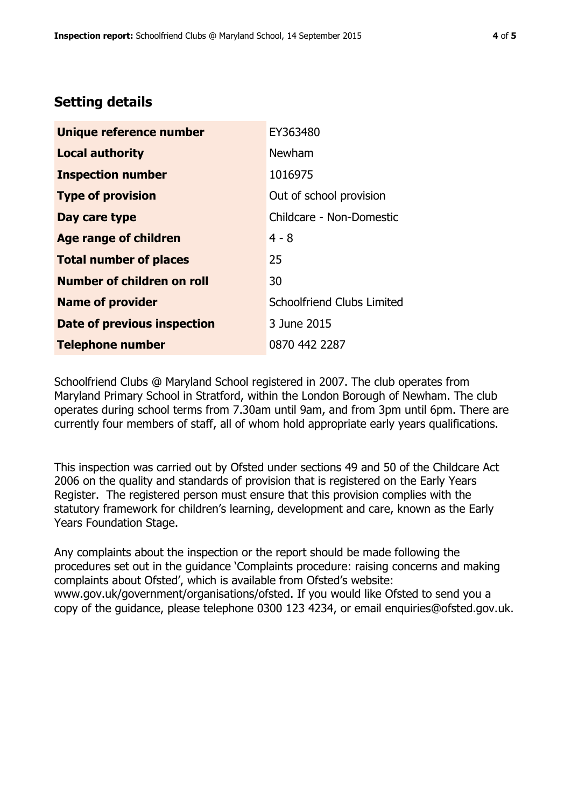# **Setting details**

| Unique reference number       | EY363480                          |
|-------------------------------|-----------------------------------|
| <b>Local authority</b>        | Newham                            |
| <b>Inspection number</b>      | 1016975                           |
| <b>Type of provision</b>      | Out of school provision           |
| Day care type                 | Childcare - Non-Domestic          |
| <b>Age range of children</b>  | $4 - 8$                           |
| <b>Total number of places</b> | 25                                |
| Number of children on roll    | 30                                |
| <b>Name of provider</b>       | <b>Schoolfriend Clubs Limited</b> |
| Date of previous inspection   | 3 June 2015                       |
| <b>Telephone number</b>       | 0870 442 2287                     |

Schoolfriend Clubs @ Maryland School registered in 2007. The club operates from Maryland Primary School in Stratford, within the London Borough of Newham. The club operates during school terms from 7.30am until 9am, and from 3pm until 6pm. There are currently four members of staff, all of whom hold appropriate early years qualifications.

This inspection was carried out by Ofsted under sections 49 and 50 of the Childcare Act 2006 on the quality and standards of provision that is registered on the Early Years Register. The registered person must ensure that this provision complies with the statutory framework for children's learning, development and care, known as the Early Years Foundation Stage.

Any complaints about the inspection or the report should be made following the procedures set out in the guidance 'Complaints procedure: raising concerns and making complaints about Ofsted', which is available from Ofsted's website: www.gov.uk/government/organisations/ofsted. If you would like Ofsted to send you a copy of the guidance, please telephone 0300 123 4234, or email enquiries@ofsted.gov.uk.